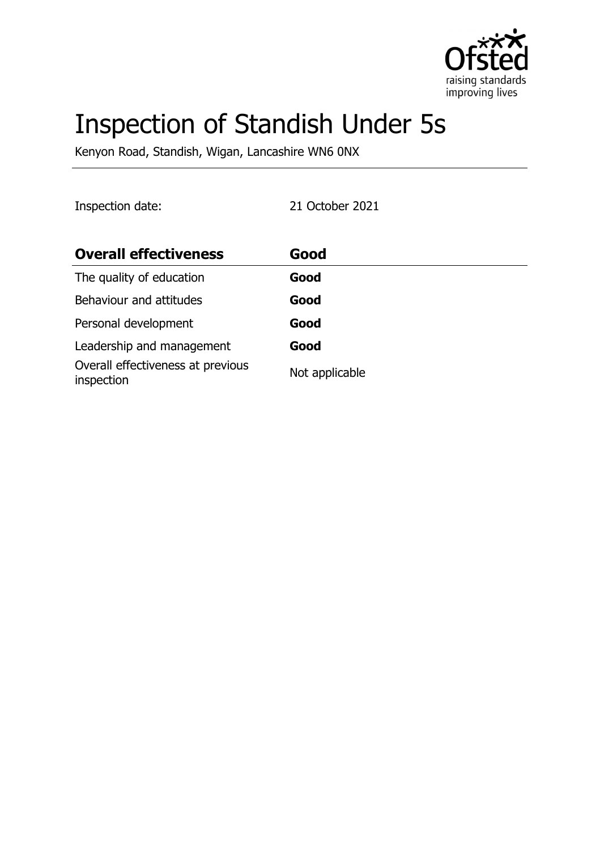

# Inspection of Standish Under 5s

Kenyon Road, Standish, Wigan, Lancashire WN6 0NX

Inspection date: 21 October 2021

| <b>Overall effectiveness</b>                    | Good           |
|-------------------------------------------------|----------------|
| The quality of education                        | Good           |
| Behaviour and attitudes                         | Good           |
| Personal development                            | Good           |
| Leadership and management                       | Good           |
| Overall effectiveness at previous<br>inspection | Not applicable |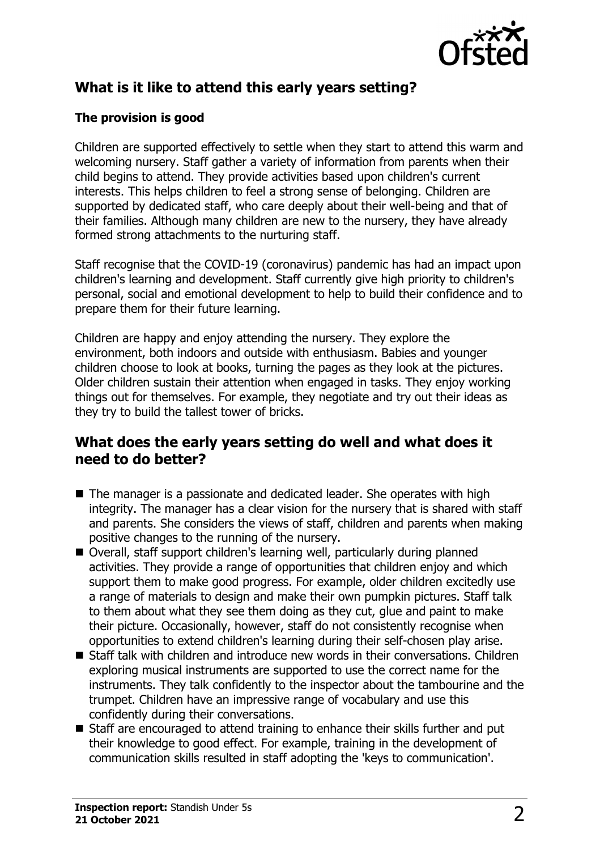

# **What is it like to attend this early years setting?**

## **The provision is good**

Children are supported effectively to settle when they start to attend this warm and welcoming nursery. Staff gather a variety of information from parents when their child begins to attend. They provide activities based upon children's current interests. This helps children to feel a strong sense of belonging. Children are supported by dedicated staff, who care deeply about their well-being and that of their families. Although many children are new to the nursery, they have already formed strong attachments to the nurturing staff.

Staff recognise that the COVID-19 (coronavirus) pandemic has had an impact upon children's learning and development. Staff currently give high priority to children's personal, social and emotional development to help to build their confidence and to prepare them for their future learning.

Children are happy and enjoy attending the nursery. They explore the environment, both indoors and outside with enthusiasm. Babies and younger children choose to look at books, turning the pages as they look at the pictures. Older children sustain their attention when engaged in tasks. They enjoy working things out for themselves. For example, they negotiate and try out their ideas as they try to build the tallest tower of bricks.

## **What does the early years setting do well and what does it need to do better?**

- The manager is a passionate and dedicated leader. She operates with high integrity. The manager has a clear vision for the nursery that is shared with staff and parents. She considers the views of staff, children and parents when making positive changes to the running of the nursery.
- Overall, staff support children's learning well, particularly during planned activities. They provide a range of opportunities that children enjoy and which support them to make good progress. For example, older children excitedly use a range of materials to design and make their own pumpkin pictures. Staff talk to them about what they see them doing as they cut, glue and paint to make their picture. Occasionally, however, staff do not consistently recognise when opportunities to extend children's learning during their self-chosen play arise.
- $\blacksquare$  Staff talk with children and introduce new words in their conversations. Children exploring musical instruments are supported to use the correct name for the instruments. They talk confidently to the inspector about the tambourine and the trumpet. Children have an impressive range of vocabulary and use this confidently during their conversations.
- $\blacksquare$  Staff are encouraged to attend training to enhance their skills further and put their knowledge to good effect. For example, training in the development of communication skills resulted in staff adopting the 'keys to communication'.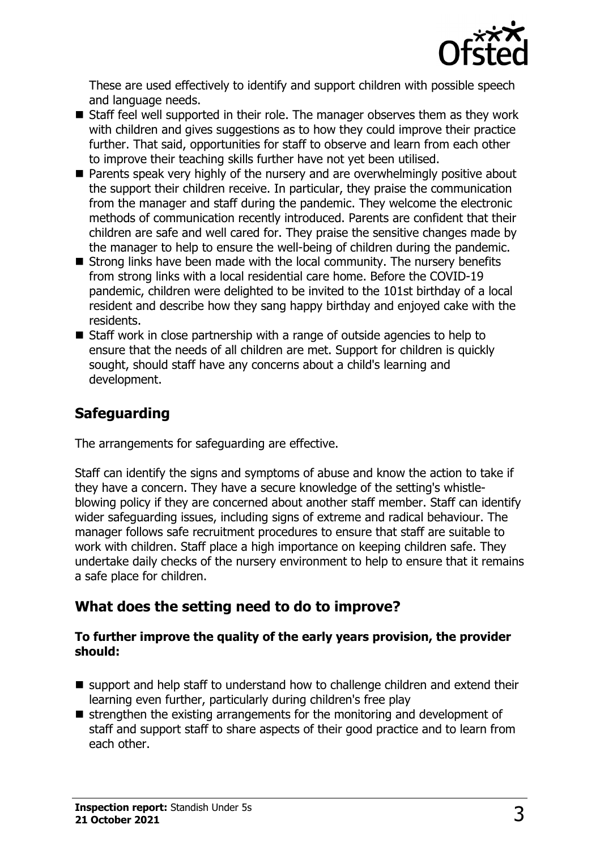

These are used effectively to identify and support children with possible speech and language needs.

- $\blacksquare$  Staff feel well supported in their role. The manager observes them as they work with children and gives suggestions as to how they could improve their practice further. That said, opportunities for staff to observe and learn from each other to improve their teaching skills further have not yet been utilised.
- $\blacksquare$  Parents speak very highly of the nursery and are overwhelmingly positive about the support their children receive. In particular, they praise the communication from the manager and staff during the pandemic. They welcome the electronic methods of communication recently introduced. Parents are confident that their children are safe and well cared for. They praise the sensitive changes made by the manager to help to ensure the well-being of children during the pandemic.
- $\blacksquare$  Strong links have been made with the local community. The nursery benefits from strong links with a local residential care home. Before the COVID-19 pandemic, children were delighted to be invited to the 101st birthday of a local resident and describe how they sang happy birthday and enjoyed cake with the residents.
- $\blacksquare$  Staff work in close partnership with a range of outside agencies to help to ensure that the needs of all children are met. Support for children is quickly sought, should staff have any concerns about a child's learning and development.

# **Safeguarding**

The arrangements for safeguarding are effective.

Staff can identify the signs and symptoms of abuse and know the action to take if they have a concern. They have a secure knowledge of the setting's whistleblowing policy if they are concerned about another staff member. Staff can identify wider safeguarding issues, including signs of extreme and radical behaviour. The manager follows safe recruitment procedures to ensure that staff are suitable to work with children. Staff place a high importance on keeping children safe. They undertake daily checks of the nursery environment to help to ensure that it remains a safe place for children.

# **What does the setting need to do to improve?**

#### **To further improve the quality of the early years provision, the provider should:**

- $\blacksquare$  support and help staff to understand how to challenge children and extend their learning even further, particularly during children's free play
- $\blacksquare$  strengthen the existing arrangements for the monitoring and development of staff and support staff to share aspects of their good practice and to learn from each other.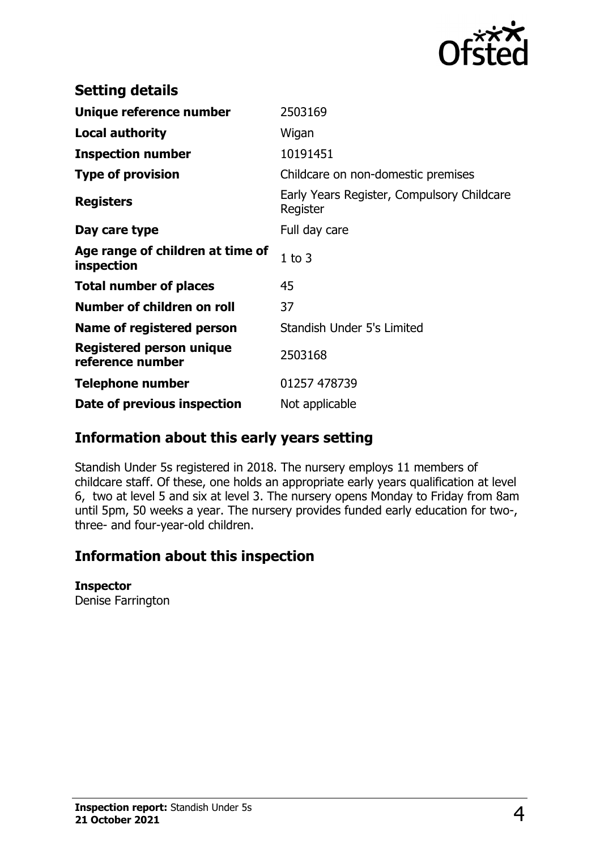

| <b>Setting details</b>                         |                                                        |
|------------------------------------------------|--------------------------------------------------------|
| Unique reference number                        | 2503169                                                |
| <b>Local authority</b>                         | Wigan                                                  |
| <b>Inspection number</b>                       | 10191451                                               |
| <b>Type of provision</b>                       | Childcare on non-domestic premises                     |
| <b>Registers</b>                               | Early Years Register, Compulsory Childcare<br>Register |
| Day care type                                  | Full day care                                          |
| Age range of children at time of<br>inspection | $1$ to $3$                                             |
| <b>Total number of places</b>                  | 45                                                     |
| Number of children on roll                     | 37                                                     |
| Name of registered person                      | Standish Under 5's Limited                             |
| Registered person unique<br>reference number   | 2503168                                                |
| <b>Telephone number</b>                        | 01257 478739                                           |
| Date of previous inspection                    | Not applicable                                         |

## **Information about this early years setting**

Standish Under 5s registered in 2018. The nursery employs 11 members of childcare staff. Of these, one holds an appropriate early years qualification at level 6, two at level 5 and six at level 3. The nursery opens Monday to Friday from 8am until 5pm, 50 weeks a year. The nursery provides funded early education for two-, three- and four-year-old children.

# **Information about this inspection**

#### **Inspector**

Denise Farrington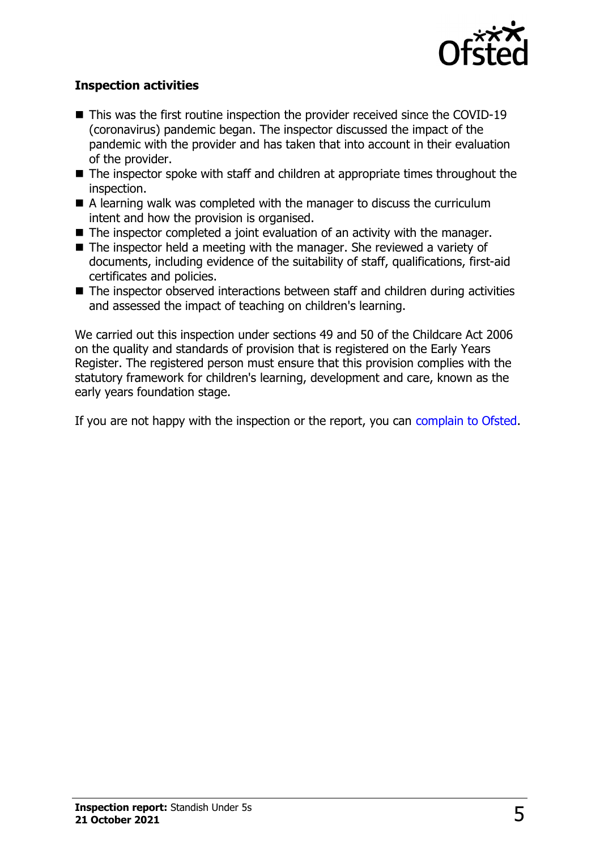

## **Inspection activities**

- $\blacksquare$  This was the first routine inspection the provider received since the COVID-19 (coronavirus) pandemic began. The inspector discussed the impact of the pandemic with the provider and has taken that into account in their evaluation of the provider.
- $\blacksquare$  The inspector spoke with staff and children at appropriate times throughout the inspection.
- $\blacksquare$  A learning walk was completed with the manager to discuss the curriculum intent and how the provision is organised.
- $\blacksquare$  The inspector completed a joint evaluation of an activity with the manager.
- $\blacksquare$  The inspector held a meeting with the manager. She reviewed a variety of documents, including evidence of the suitability of staff, qualifications, first-aid certificates and policies.
- $\blacksquare$  The inspector observed interactions between staff and children during activities and assessed the impact of teaching on children's learning.

We carried out this inspection under sections 49 and 50 of the Childcare Act 2006 on the quality and standards of provision that is registered on the Early Years Register. The registered person must ensure that this provision complies with the statutory framework for children's learning, development and care, known as the early years foundation stage.

If you are not happy with the inspection or the report, you can [complain to Ofsted](http://www.gov.uk/complain-ofsted-report).